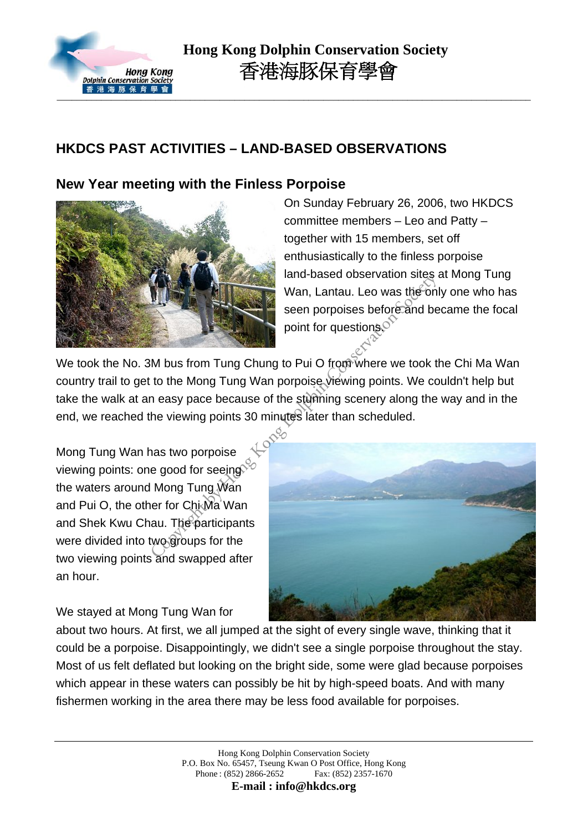

## **HKDCS PAST ACTIVITIES – LAND-BASED OBSERVATIONS**

## **New Year meeting with the Finless Porpoise**



On Sunday February 26, 2006, two HKDCS committee members – Leo and Patty – together with 15 members, set off enthusiastically to the finless porpoise land-based observation sites at Mong Tung Wan, Lantau. Leo was the only one who has seen porpoises before and became the focal point for questions.<sup>of</sup>

We took the No. 3M bus from Tung Chung to Pui O from where we took the Chi Ma Wan country trail to get to the Mong Tung Wan porpoise viewing points. We couldn't help but take the walk at an easy pace because of the stunning scenery along the way and in the end, we reached the viewing points 30 minutes later than scheduled.

Mong Tung Wan has two porpoise viewing points: one good for seeing the waters around Mong Tung Wan and Pui O, the other for Chi Ma' Wan and Shek Kwu Chau. The participants were divided into two groups for the two viewing points and swapped after an hour.



We stayed at Mong Tung Wan for

about two hours. At first, we all jumped at the sight of every single wave, thinking that it could be a porpoise. Disappointingly, we didn't see a single porpoise throughout the stay. Most of us felt deflated but looking on the bright side, some were glad because porpoises which appear in these waters can possibly be hit by high-speed boats. And with many fishermen working in the area there may be less food available for porpoises.

**E-mail : info@hkdcs.org**